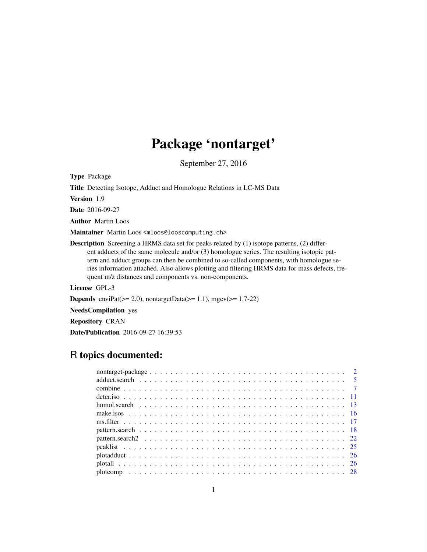# Package 'nontarget'

September 27, 2016

<span id="page-0-0"></span>Type Package

Title Detecting Isotope, Adduct and Homologue Relations in LC-MS Data

Version 1.9

Date 2016-09-27

Author Martin Loos

Maintainer Martin Loos <mloos@looscomputing.ch>

Description Screening a HRMS data set for peaks related by (1) isotope patterns, (2) different adducts of the same molecule and/or (3) homologue series. The resulting isotopic pattern and adduct groups can then be combined to so-called components, with homologue series information attached. Also allows plotting and filtering HRMS data for mass defects, frequent m/z distances and components vs. non-components.

License GPL-3

**Depends** enviPat( $>= 2.0$ ), nontargetData( $>= 1.1$ ), mgcv( $>= 1.7-22$ )

NeedsCompilation yes

Repository CRAN

Date/Publication 2016-09-27 16:39:53

# R topics documented: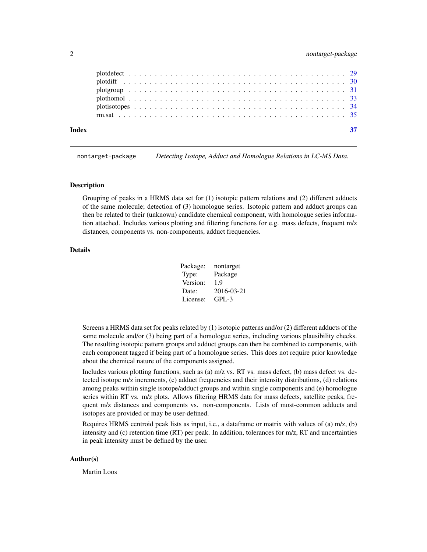# <span id="page-1-0"></span>2 nontarget-package

| Index |  |
|-------|--|
|       |  |
|       |  |
|       |  |
|       |  |
|       |  |
|       |  |

nontarget-package *Detecting Isotope, Adduct and Homologue Relations in LC-MS Data.*

#### **Description**

Grouping of peaks in a HRMS data set for (1) isotopic pattern relations and (2) different adducts of the same molecule; detection of (3) homologue series. Isotopic pattern and adduct groups can then be related to their (unknown) candidate chemical component, with homologue series information attached. Includes various plotting and filtering functions for e.g. mass defects, frequent m/z distances, components vs. non-components, adduct frequencies.

#### Details

| Package: | nontarget  |
|----------|------------|
| Type:    | Package    |
| Version: | 1.9        |
| Date:    | 2016-03-21 |
| License: | $GPI - 3$  |

Screens a HRMS data set for peaks related by (1) isotopic patterns and/or (2) different adducts of the same molecule and/or (3) being part of a homologue series, including various plausibility checks. The resulting isotopic pattern groups and adduct groups can then be combined to components, with each component tagged if being part of a homologue series. This does not require prior knowledge about the chemical nature of the components assigned.

Includes various plotting functions, such as (a)  $m/z$  vs. RT vs. mass defect, (b) mass defect vs. detected isotope m/z increments, (c) adduct frequencies and their intensity distributions, (d) relations among peaks within single isotope/adduct groups and within single components and (e) homologue series within RT vs. m/z plots. Allows filtering HRMS data for mass defects, satellite peaks, frequent m/z distances and components vs. non-components. Lists of most-common adducts and isotopes are provided or may be user-defined.

Requires HRMS centroid peak lists as input, i.e., a dataframe or matrix with values of (a) m/z, (b) intensity and (c) retention time (RT) per peak. In addition, tolerances for m/z, RT and uncertainties in peak intensity must be defined by the user.

#### Author(s)

Martin Loos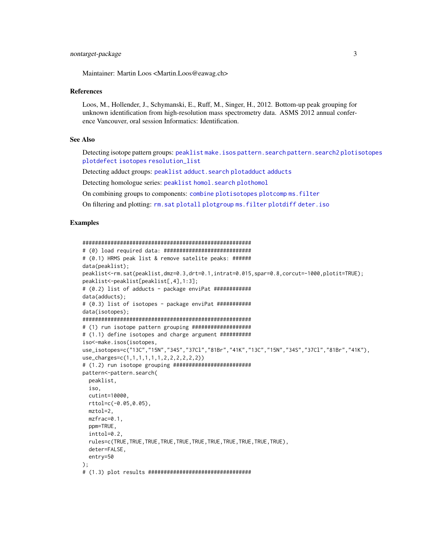# <span id="page-2-0"></span>nontarget-package 3

Maintainer: Martin Loos <Martin.Loos@eawag.ch>

### References

Loos, M., Hollender, J., Schymanski, E., Ruff, M., Singer, H., 2012. Bottom-up peak grouping for unknown identification from high-resolution mass spectrometry data. ASMS 2012 annual conference Vancouver, oral session Informatics: Identification.

# See Also

Detecting isotope pattern groups: [peaklist](#page-24-1) [make.isos](#page-15-1) [pattern.search](#page-17-1) [pattern.search2](#page-21-1) [plotisotopes](#page-33-1) [plotdefect](#page-28-1) [isotopes](#page-0-0) [resolution\\_list](#page-0-0)

Detecting adduct groups: [peaklist](#page-24-1) [adduct.search](#page-4-1) [plotadduct](#page-25-1) [adducts](#page-0-0)

Detecting homologue series: [peaklist](#page-24-1) [homol.search](#page-12-1) [plothomol](#page-32-1)

On combining groups to components: [combine](#page-6-1) [plotisotopes](#page-33-1) [plotcomp](#page-27-1) [ms.filter](#page-16-1)

On filtering and plotting: [rm.sat](#page-34-1) [plotall](#page-25-2) [plotgroup](#page-30-1) [ms.filter](#page-16-1) [plotdiff](#page-29-1) [deter.iso](#page-10-1)

#### Examples

```
######################################################
# (0) load required data: ############################
# (0.1) HRMS peak list & remove satelite peaks: ######
data(peaklist);
peaklist<-rm.sat(peaklist,dmz=0.3,drt=0.1,intrat=0.015,spar=0.8,corcut=-1000,plotit=TRUE);
peaklist<-peaklist[peaklist[,4],1:3];
# (0.2) list of adducts - package enviPat ############
data(adducts);
# (0.3) list of isotopes - package enviPat ###########
data(isotopes);
######################################################
# (1) run isotope pattern grouping ###################
# (1.1) define isotopes and charge argument ##########
iso<-make.isos(isotopes,
use_isotopes=c("13C","15N","34S","37Cl","81Br","41K","13C","15N","34S","37Cl","81Br","41K"),
use_charges=c(1,1,1,1,1,1,2,2,2,2,2,2))
# (1.2) run isotope grouping #########################
pattern<-pattern.search(
 peaklist,
  iso,
 cutint=10000,
  rttol=c(-0.05,0.05),
  mztol=2,
  mzfrac=0.1,
  ppm=TRUE,
  inttol=0.2,
  rules=c(TRUE,TRUE,TRUE,TRUE,TRUE,TRUE,TRUE,TRUE,TRUE,TRUE,TRUE),
  deter=FALSE,
  entry=50
);
# (1.3) plot results #################################
```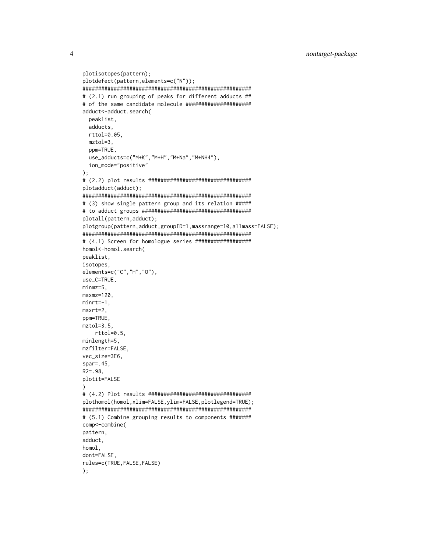```
plotisotopes(pattern);
plotdefect(pattern, elements=c("N"));
# (2.1) run grouping of peaks for different adducts ##
# of the same candidate molecule ######################
adduct<-adduct.search(
 peaklist,
 adducts,
 rttol=0.05.
 mztol=3.ppm=TRUE,
 use_adducts=c("M+K","M+H","M+Na","M+NH4"),
 ion_mode="positive"
);plotadduct(adduct);
# (3) show single pattern group and its relation #####
plotall(pattern, adduct);
plotgroup(pattern,adduct,groupID=1,massrange=10,allmass=FALSE);
# (4.1) Screen for homologue series ###################
homol<-homol.search(
peaklist,
isotopes,
elements=c("C", "H", "0"),
use_C=TRUE,
minmz = 5.
maxmz=120,
minrt=-1.maxrt=2.
ppm=TRUE,
mztol=3.5,rttol=0.5,
minlength=5.
mzfilter=FALSE,
vec_size=3E6,
spr=.45,
R2 = .98plotit=FALSE
\lambdaplothomol(homol, xlim=FALSE, ylim=FALSE, plotlegend=TRUE);
# (5.1) Combine grouping results to components #######
comp<-combine(
pattern,
adduct,
homol.
dont=FALSE,
rules=c(TRUE, FALSE, FALSE)
);
```
 $\overline{4}$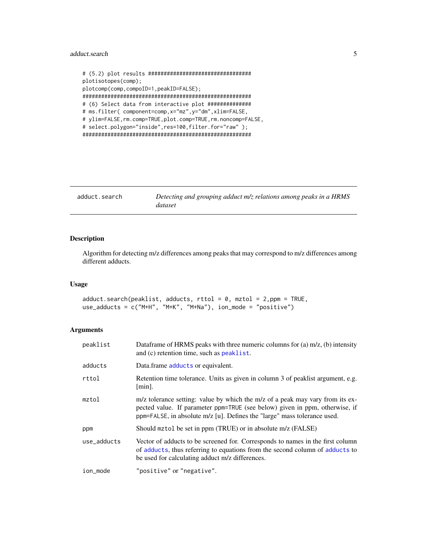# <span id="page-4-0"></span>adduct.search 5

```
# (5.2) plot results #################################
plotisotopes(comp);
plotcomp(comp,compoID=1,peakID=FALSE);
######################################################
# (6) Select data from interactive plot ##############
# ms.filter( component=comp,x="mz",y="dm",xlim=FALSE,
# ylim=FALSE,rm.comp=TRUE,plot.comp=TRUE,rm.noncomp=FALSE,
# select.polygon="inside",res=100,filter.for="raw");
######################################################
```
<span id="page-4-1"></span>

| adduct.search | Detecting and grouping adduct m/z relations among peaks in a HRMS |
|---------------|-------------------------------------------------------------------|
|               | dataset                                                           |

# Description

Algorithm for detecting m/z differences among peaks that may correspond to m/z differences among different adducts.

# Usage

```
adduct.search(peaklist, adducts, rttol = 0, mztol = 2, ppm = TRUE,use_adducts = c("M+H", "M+K", "M+Na"), ion_mode = "positive")
```
# Arguments

| peaklist    | Data frame of HRMS peaks with three numeric columns for (a) $m/z$ , (b) intensity<br>and (c) retention time, such as peaklist.                                                                                                           |
|-------------|------------------------------------------------------------------------------------------------------------------------------------------------------------------------------------------------------------------------------------------|
| adducts     | Data.frame adducts or equivalent.                                                                                                                                                                                                        |
| rttol       | Retention time tolerance. Units as given in column 3 of peaklist argument, e.g.<br>$[min]$ .                                                                                                                                             |
| mztol       | m/z tolerance setting: value by which the m/z of a peak may vary from its ex-<br>pected value. If parameter ppm=TRUE (see below) given in ppm, otherwise, if<br>ppm=FALSE, in absolute m/z [u]. Defines the "large" mass tolerance used. |
| ppm         | Should mztol be set in ppm (TRUE) or in absolute m/z (FALSE)                                                                                                                                                                             |
| use adducts | Vector of adducts to be screened for. Corresponds to names in the first column<br>of adducts, thus referring to equations from the second column of adducts to<br>be used for calculating adduct m/z differences.                        |
| ion_mode    | "positive" or "negative".                                                                                                                                                                                                                |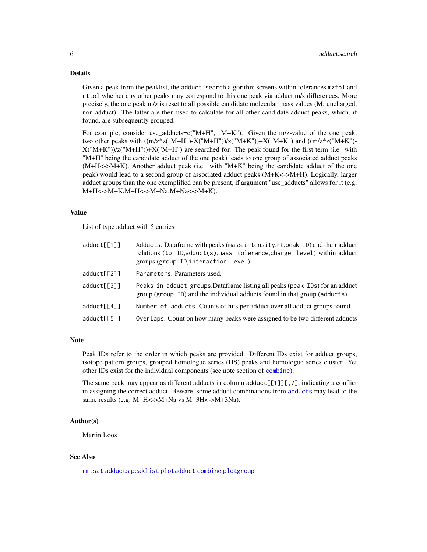# <span id="page-5-0"></span>Details

Given a peak from the peaklist, the adduct. search algorithm screens within tolerances mztol and rttol whether any other peaks may correspond to this one peak via adduct m/z differences. More precisely, the one peak m/z is reset to all possible candidate molecular mass values (M; uncharged, non-adduct). The latter are then used to calculate for all other candidate adduct peaks, which, if found, are subsequently grouped.

For example, consider use\_adducts=c("M+H", "M+K"). Given the m/z-value of the one peak, two other peaks with  $((m/z * z("M+H")-X("M+H"))/z("M+K"))+X("M+K")$  and  $((m/z * z("M+K")-X("M+K"))$  $X("M+K")/z("M+H")$ )+ $X("M+H")$  are searched for. The peak found for the first term (i.e. with "M+H" being the candidate adduct of the one peak) leads to one group of associated adduct peaks (M+H<->M+K). Another adduct peak (i.e. with "M+K" being the candidate adduct of the one peak) would lead to a second group of associated adduct peaks (M+K<->M+H). Logically, larger adduct groups than the one exemplified can be present, if argument "use\_adducts" allows for it (e.g. M+H<->M+K,M+H<->M+Na,M+Na<->M+K).

# Value

List of type adduct with 5 entries

| adduct[[1]] | Adducts. Dataframe with peaks (mass, intensity, rt, peak ID) and their adduct<br>relations (to ID, adduct(s), mass tolerance, charge level) within adduct<br>groups (group ID, interaction level). |
|-------------|----------------------------------------------------------------------------------------------------------------------------------------------------------------------------------------------------|
| adduct[[2]] | Parameters. Parameters used.                                                                                                                                                                       |
| adduct[[3]] | Peaks in adduct groups. Dataframe listing all peaks (peak IDs) for an adduct<br>group (group ID) and the individual adducts found in that group (adducts).                                         |
| adduct[[4]] | Number of adducts. Counts of hits per adduct over all adduct groups found.                                                                                                                         |
| adduct[[5]] | Overlaps. Count on how many peaks were assigned to be two different adducts                                                                                                                        |

#### **Note**

Peak IDs refer to the order in which peaks are provided. Different IDs exist for adduct groups, isotope pattern groups, grouped homologue series (HS) peaks and homologue series cluster. Yet other IDs exist for the individual components (see note section of [combine](#page-6-1)).

The same peak may appear as different adducts in column adduct $[[1]]$ , 7], indicating a conflict in assigning the correct adduct. Beware, some adduct combinations from [adducts](#page-0-0) may lead to the same results (e.g. M+H<->M+Na vs M+3H<->M+3Na).

## Author(s)

Martin Loos

# See Also

[rm.sat](#page-34-1) [adducts](#page-0-0) [peaklist](#page-24-1) [plotadduct](#page-25-1) [combine](#page-6-1) [plotgroup](#page-30-1)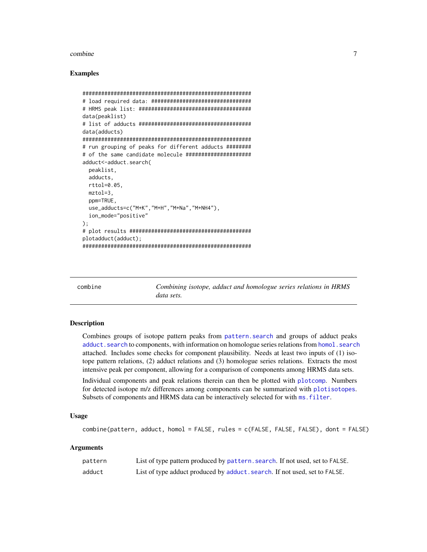#### <span id="page-6-0"></span>combine

# **Examples**

```
# load required data: ################################
data(peaklist)
data(adducts)
# run grouping of peaks for different adducts #########
# of the same candidate molecule ######################
adduct<-adduct.search(
 peaklist.
 adducts.
 rttol=0.05,
 mztol=3,
 ppm=TRUE,
 use_adducts=c("M+K","M+H","M+Na","M+NH4"),
 ion_mode="positive"
);plotadduct(adduct);
```
<span id="page-6-1"></span>

| Combining isotope, adduct and homologue series relations in HRMS<br>combine<br>data sets. |
|-------------------------------------------------------------------------------------------|
|                                                                                           |

# **Description**

Combines groups of isotope pattern peaks from pattern, search and groups of adduct peaks adduct.search to components, with information on homologue series relations from homol.search attached. Includes some checks for component plausibility. Needs at least two inputs of (1) isotope pattern relations, (2) adduct relations and (3) homologue series relations. Extracts the most intensive peak per component, allowing for a comparison of components among HRMS data sets.

Individual components and peak relations therein can then be plotted with plotcomp. Numbers for detected isotope m/z differences among components can be summarized with plotisotopes. Subsets of components and HRMS data can be interactively selected for with ms. filter.

# **Usage**

```
combine(pattern, adduct, homol = FALSE, rules = c(FALSE, FALSE, FALSE), dont = FALSE)
```
# **Arguments**

| pattern | List of type pattern produced by pattern, search. If not used, set to FALSE. |
|---------|------------------------------------------------------------------------------|
| adduct  | List of type adduct produced by adduct, search. If not used, set to FALSE.   |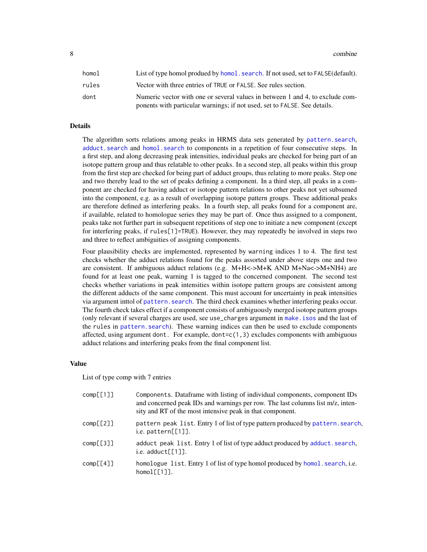<span id="page-7-0"></span>8 combine to the combine of the combine of the combine of the combine of the combine of the combine of the combine of the combine of the combine of the combine of the combine of the combine of the combine of the combine of

| homol | List of type homol produed by homol, search. If not used, set to FALSE (default).                                                                          |
|-------|------------------------------------------------------------------------------------------------------------------------------------------------------------|
| rules | Vector with three entries of TRUE or FALSE. See rules section.                                                                                             |
| dont  | Numeric vector with one or several values in between 1 and 4, to exclude com-<br>ponents with particular warnings; if not used, set to FALSE. See details. |

# Details

The algorithm sorts relations among peaks in HRMS data sets generated by [pattern.search](#page-17-1), [adduct.search](#page-4-1) and [homol.search](#page-12-1) to components in a repetition of four consecutive steps. In a first step, and along decreasing peak intensities, individual peaks are checked for being part of an isotope pattern group and thus relatable to other peaks. In a second step, all peaks within this group from the first step are checked for being part of adduct groups, thus relating to more peaks. Step one and two thereby lead to the set of peaks defining a component. In a third step, all peaks in a component are checked for having adduct or isotope pattern relations to other peaks not yet subsumed into the component, e.g. as a result of overlapping isotope pattern groups. These additional peaks are therefore defined as interfering peaks. In a fourth step, all peaks found for a component are, if available, related to homologue series they may be part of. Once thus assigned to a component, peaks take not further part in subsequent repetitions of step one to initiate a new component (except for interfering peaks, if rules[1]=TRUE). However, they may repeatedly be involved in steps two and three to reflect ambiguities of assigning components.

Four plausibility checks are implemented, represented by warning indices 1 to 4. The first test checks whether the adduct relations found for the peaks assorted under above steps one and two are consistent. If ambiguous adduct relations (e.g. M+H<->M+K AND M+Na<->M+NH4) are found for at least one peak, warning 1 is tagged to the concerned component. The second test checks whether variations in peak intensities within isotope pattern groups are consistent among the different adducts of the same component. This must account for uncertainty in peak intensities via argument inttol of [pattern.search](#page-17-1). The third check examines whether interfering peaks occur. The fourth check takes effect if a component consists of ambiguously merged isotope pattern groups (only relevant if several charges are used, see use\_charges argument in [make.isos](#page-15-1) and the last of the rules in [pattern.search](#page-17-1)). These warning indices can then be used to exclude components affected, using argument dont. For example,  $\text{dont} = c(1,3)$  excludes components with ambiguous adduct relations and interfering peaks from the final component list.

#### Value

List of type comp with 7 entries

| comp[1]  | Components. Data frame with listing of individual components, component IDs<br>and concerned peak IDs and warnings per row. The last columns list m/z, inten-<br>sity and RT of the most intensive peak in that component. |
|----------|----------------------------------------------------------------------------------------------------------------------------------------------------------------------------------------------------------------------------|
| comp[2]  | pattern peak list. Entry 1 of list of type pattern produced by pattern. search,<br>i.e. $pattern[[1]]$ .                                                                                                                   |
| comp[3]  | adduct peak list. Entry 1 of list of type adduct produced by adduct. search,<br>i.e. $adduct[[1]]$ .                                                                                                                       |
| comp[64] | homologue list. Entry 1 of list of type homol produced by homol. search, i.e.<br>$homol[1]$ .                                                                                                                              |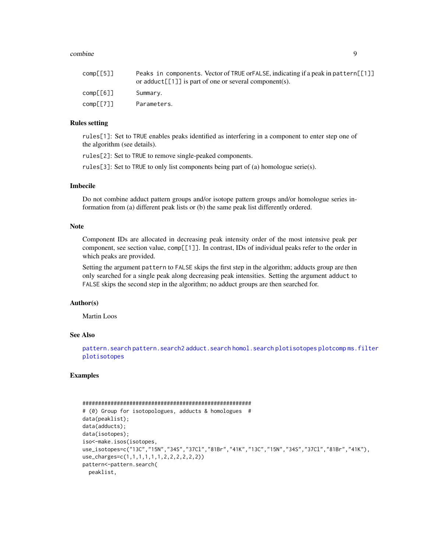#### <span id="page-8-0"></span>combine 9

| comp[5] | Peaks in components. Vector of TRUE or FALSE, indicating if a peak in pattern [[1]]<br>or adduct [[1]] is part of one or several component(s). |
|---------|------------------------------------------------------------------------------------------------------------------------------------------------|
| comp[6] | Summary.                                                                                                                                       |
| comp[7] | Parameters.                                                                                                                                    |

# Rules setting

rules[1]: Set to TRUE enables peaks identified as interfering in a component to enter step one of the algorithm (see details).

rules[2]: Set to TRUE to remove single-peaked components.

rules[3]: Set to TRUE to only list components being part of (a) homologue serie(s).

#### Imbecile

Do not combine adduct pattern groups and/or isotope pattern groups and/or homologue series information from (a) different peak lists or (b) the same peak list differently ordered.

# Note

Component IDs are allocated in decreasing peak intensity order of the most intensive peak per component, see section value, comp[[1]]. In contrast, IDs of individual peaks refer to the order in which peaks are provided.

Setting the argument pattern to FALSE skips the first step in the algorithm; adducts group are then only searched for a single peak along decreasing peak intensities. Setting the argument adduct to FALSE skips the second step in the algorithm; no adduct groups are then searched for.

# Author(s)

Martin Loos

#### See Also

[pattern.search](#page-17-1) [pattern.search2](#page-21-1) [adduct.search](#page-4-1) [homol.search](#page-12-1) [plotisotopes](#page-33-1) [plotcomp](#page-27-1) [ms.filter](#page-16-1) [plotisotopes](#page-33-1)

# Examples

```
######################################################
# (0) Group for isotopologues, adducts & homologues #
data(peaklist);
data(adducts);
data(isotopes);
iso<-make.isos(isotopes,
use_isotopes=c("13C","15N","34S","37Cl","81Br","41K","13C","15N","34S","37Cl","81Br","41K"),
use_charges=c(1,1,1,1,1,1,2,2,2,2,2,2))
pattern<-pattern.search(
 peaklist,
```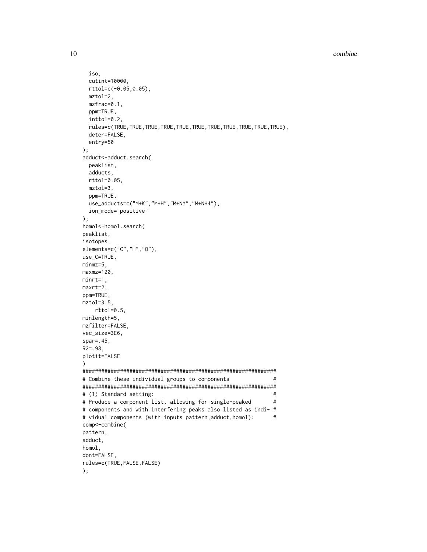combine

```
iso,
 cutint=10000,
 rttol=c(-0.05, 0.05),
 mztol=2,mzfrac=0.1,
 ppm=TRUE,
 inttol=0.2,
 rules=c(TRUE, TRUE, TRUE, TRUE, TRUE, TRUE, TRUE, TRUE, TRUE, TRUE, TRUE),
 deter=FALSE,
 entry=50
);adduct<-adduct.search(
 peaklist,
 adducts,
 rttol=0.05,
 mztol=3,
 ppm=TRUE,
 use_adducts=c("M+K","M+H","M+Na","M+NH4"),
 ion_mode="positive"
);homol<-homol.search(
peaklist,
isotopes,
elements=c("C","H","0"),
use_C=TRUE,
minmz = 5,
maxmz=120,
minrt=1,
maxrt=2,
ppm=TRUE,
mztol=3.5,rttol=0.5,
minlength=5,
mzfilter=FALSE,
vec_size=3E6,
spr=.45,
R2 = .98plotit=FALSE
\mathcal{E}# Combine these individual groups to components
                                                        ## (1) Standard setting:
                                                        #\## Produce a component list, allowing for single-peaked
# components and with interfering peaks also listed as indi- #
# vidual components (with inputs pattern, adduct, homol):
                                                        \#comp<-combine(
pattern,
adduct,
homol.
dont=FALSE,
rules=c(TRUE, FALSE, FALSE)
);
```
10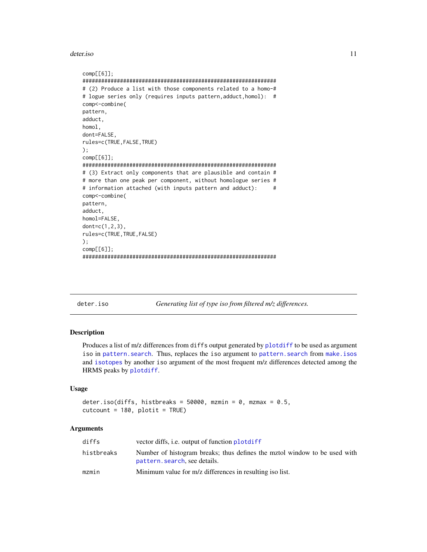<span id="page-10-0"></span>deter.iso

```
comp[6]];# (2) Produce a list with those components related to a homo-#
# logue series only (requires inputs pattern, adduct, homol): #
comp<-combine(
pattern,
adduct,
homol,
dont=FALSE,
rules=c(TRUE, FALSE, TRUE)
);comp[6]];# (3) Extract only components that are plausible and contain #
# more than one peak per component, without homologue series #
# information attached (with inputs pattern and adduct):
                                             #comp<-combine(
pattern,
adduct,
homol=FALSE,
dont=c(1, 2, 3),
rules=c(TRUE, TRUE, FALSE)
);comp[6];
```
<span id="page-10-1"></span>deter.iso

Generating list of type iso from filtered m/z differences.

#### **Description**

Produces a list of m/z differences from diffs output generated by plotdiff to be used as argument iso in pattern. search. Thus, replaces the iso argument to pattern. search from make. isos and isotopes by another iso argument of the most frequent m/z differences detected among the HRMS peaks by plotdiff.

# **Usage**

```
deter.iso(diffs, histbreaks = 50000, mzmin = 0, mzmax = 0.5,
cutcount = 180, plotit = TRUE)
```
# **Arguments**

| diffs      | vector diffs, <i>i.e.</i> output of function plotdiff                                                      |
|------------|------------------------------------------------------------------------------------------------------------|
| histbreaks | Number of histogram breaks; thus defines the mztol window to be used with<br>pattern. search, see details. |
| mzmin      | Minimum value for m/z differences in resulting iso list.                                                   |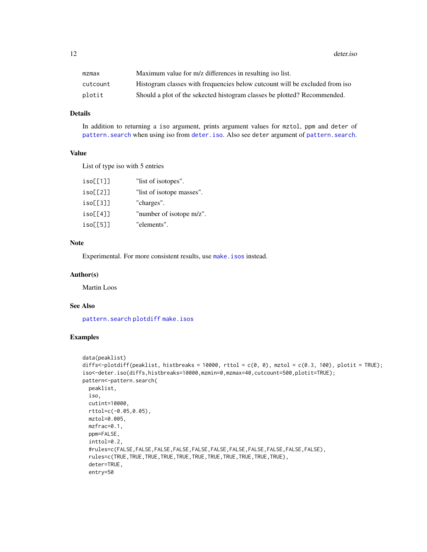<span id="page-11-0"></span>12 deter.iso

| mzmax    | Maximum value for m/z differences in resulting iso list.                    |
|----------|-----------------------------------------------------------------------------|
| cutcount | Histogram classes with frequencies below cutcount will be excluded from iso |
| plotit   | Should a plot of the sekected histogram classes be plotted? Recommended.    |

# Details

In addition to returning a iso argument, prints argument values for mztol, ppm and deter of [pattern.search](#page-17-1) when using iso from [deter.iso](#page-10-1). Also see deter argument of [pattern.search](#page-17-1).

# Value

List of type iso with 5 entries

| iso[1]   | "list of isotopes".       |
|----------|---------------------------|
| iso[2]   | "list of isotope masses". |
| iso[5]   | "charges".                |
| iso[[4]] | "number of isotope m/z".  |
| iso[5]   | "elements".               |
|          |                           |

# Note

Experimental. For more consistent results, use [make.isos](#page-15-1) instead.

#### Author(s)

Martin Loos

# See Also

[pattern.search](#page-17-1) [plotdiff](#page-29-1) [make.isos](#page-15-1)

# Examples

```
data(peaklist)
diffs<-plotdiff(peaklist, histbreaks = 10000, rttol = c(0, 0), mztol = c(0.3, 100), plotit = TRUE);
iso<-deter.iso(diffs,histbreaks=10000,mzmin=0,mzmax=40,cutcount=500,plotit=TRUE);
pattern<-pattern.search(
 peaklist,
 iso,
 cutint=10000,
 rttol=c(-0.05,0.05),
 mztol=0.005,
 mzfrac=0.1,
 ppm=FALSE,
 inttol=0.2,
 #rules=c(FALSE,FALSE,FALSE,FALSE,FALSE,FALSE,FALSE,FALSE,FALSE,FALSE,FALSE),
 rules=c(TRUE,TRUE,TRUE,TRUE,TRUE,TRUE,TRUE,TRUE,TRUE,TRUE,TRUE),
 deter=TRUE,
 entry=50
```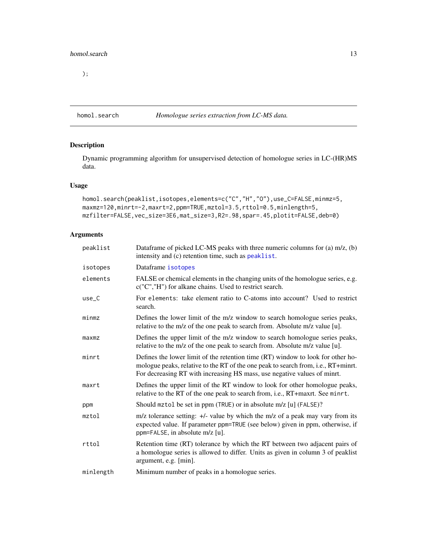<span id="page-12-0"></span>);

<span id="page-12-1"></span>

# Description

Dynamic programming algorithm for unsupervised detection of homologue series in LC-(HR)MS data.

# Usage

```
homol.search(peaklist,isotopes,elements=c("C","H","O"),use_C=FALSE,minmz=5,
maxmz=120,minrt=-2,maxrt=2,ppm=TRUE,mztol=3.5,rttol=0.5,minlength=5,
mzfilter=FALSE,vec_size=3E6,mat_size=3,R2=.98,spar=.45,plotit=FALSE,deb=0)
```
# Arguments

| peaklist  | Dataframe of picked LC-MS peaks with three numeric columns for (a) m/z, (b)<br>intensity and (c) retention time, such as peaklist.                                                                                                               |
|-----------|--------------------------------------------------------------------------------------------------------------------------------------------------------------------------------------------------------------------------------------------------|
| isotopes  | Dataframe isotopes                                                                                                                                                                                                                               |
| elements  | FALSE or chemical elements in the changing units of the homologue series, e.g.<br>c("C","H") for alkane chains. Used to restrict search.                                                                                                         |
| $use_C$   | For elements: take element ratio to C-atoms into account? Used to restrict<br>search.                                                                                                                                                            |
| minmax    | Defines the lower limit of the m/z window to search homologue series peaks,<br>relative to the m/z of the one peak to search from. Absolute m/z value [u].                                                                                       |
| maxmz     | Defines the upper limit of the m/z window to search homologue series peaks,<br>relative to the m/z of the one peak to search from. Absolute m/z value [u].                                                                                       |
| minrt     | Defines the lower limit of the retention time (RT) window to look for other ho-<br>mologue peaks, relative to the RT of the one peak to search from, i.e., RT+minrt.<br>For decreasing RT with increasing HS mass, use negative values of minrt. |
| maxrt     | Defines the upper limit of the RT window to look for other homologue peaks,<br>relative to the RT of the one peak to search from, i.e., RT+maxrt. See minrt.                                                                                     |
| ppm       | Should mztol be set in ppm (TRUE) or in absolute m/z [u] (FALSE)?                                                                                                                                                                                |
| mztol     | $m/z$ tolerance setting: $+\prime$ - value by which the m/z of a peak may vary from its<br>expected value. If parameter ppm=TRUE (see below) given in ppm, otherwise, if<br>ppm=FALSE, in absolute m/z [u].                                      |
| rttol     | Retention time (RT) tolerance by which the RT between two adjacent pairs of<br>a homologue series is allowed to differ. Units as given in column 3 of peaklist<br>argument, e.g. [min].                                                          |
| minlength | Minimum number of peaks in a homologue series.                                                                                                                                                                                                   |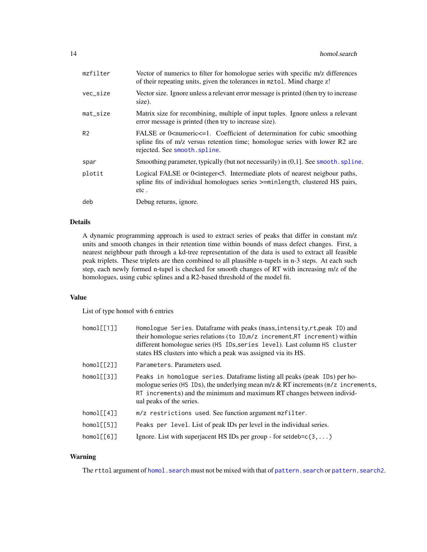<span id="page-13-0"></span>

| mzfilter       | Vector of numerics to filter for homologue series with specific m/z differences<br>of their repeating units, given the tolerances in mztol. Mind charge z!                                                            |
|----------------|-----------------------------------------------------------------------------------------------------------------------------------------------------------------------------------------------------------------------|
| vec_size       | Vector size. Ignore unless a relevant error message is printed (then try to increase<br>size).                                                                                                                        |
| $mat\_size$    | Matrix size for recombining, multiple of input tuples. Ignore unless a relevant<br>error message is printed (then try to increase size).                                                                              |
| R <sub>2</sub> | FALSE or $0$ <numeric<math>\leq=1. Coefficient of determination for cubic smoothing<br/>spline fits of m/z versus retention time; homologue series with lower R2 are<br/>rejected. See smooth. spline.</numeric<math> |
| spar           | Smoothing parameter, typically (but not necessarily) in (0,1]. See smooth. spline.                                                                                                                                    |
| plotit         | Logical FALSE or 0 <integer<5. intermediate="" nearest="" neigbour="" of="" paths,<br="" plots="">spline fits of individual homologues series &gt;=minlength, clustered HS pairs,<br/>etc.</integer<5.>               |
| deb            | Debug returns, ignore.                                                                                                                                                                                                |
|                |                                                                                                                                                                                                                       |

# Details

A dynamic programming approach is used to extract series of peaks that differ in constant m/z units and smooth changes in their retention time within bounds of mass defect changes. First, a nearest neighbour path through a kd-tree representation of the data is used to extract all feasible peak triplets. These triplets are then combined to all plausible n-tupels in n-3 steps. At each such step, each newly formed n-tupel is checked for smooth changes of RT with increasing m/z of the homologues, using cubic splines and a R2-based threshold of the model fit.

#### Value

List of type homol with 6 entries

| homol[1]                 | Homologue Series. Dataframe with peaks (mass, intensity, rt, peak ID) and<br>their homologue series relations (to ID, m/z increment, RT increment) within<br>different homologue series (HS IDs, series level). Last column HS cluster<br>states HS clusters into which a peak was assigned via its HS. |
|--------------------------|---------------------------------------------------------------------------------------------------------------------------------------------------------------------------------------------------------------------------------------------------------------------------------------------------------|
| homol[2]                 | Parameters. Parameters used.                                                                                                                                                                                                                                                                            |
| homol[13]                | Peaks in homologue series. Dataframe listing all peaks (peak IDs) per ho-<br>mologue series (HS IDs), the underlying mean m/z & RT increments (m/z increments,<br>RT increments) and the minimum and maximum RT changes between individ-<br>ual peaks of the series.                                    |
| homol[f[4]]              | m/z restrictions used. See function argument mzfilter.                                                                                                                                                                                                                                                  |
| homol[f5]                | Peaks per level. List of peak IDs per level in the individual series.                                                                                                                                                                                                                                   |
| $homol[\lceil 6 \rceil]$ | Ignore. List with superjacent HS IDs per group - for setdeb= $c(3,)$                                                                                                                                                                                                                                    |
|                          |                                                                                                                                                                                                                                                                                                         |

# Warning

The rttol argument of [homol.search](#page-12-1) must not be mixed with that of [pattern.search](#page-17-1) or [pattern.search2](#page-21-1).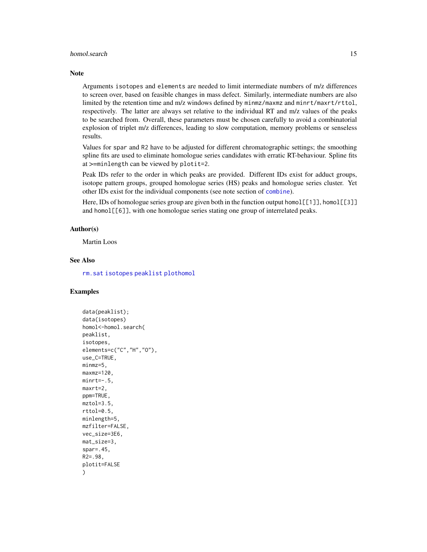#### <span id="page-14-0"></span>homol.search 15

#### Note

Arguments isotopes and elements are needed to limit intermediate numbers of m/z differences to screen over, based on feasible changes in mass defect. Similarly, intermediate numbers are also limited by the retention time and m/z windows defined by minmz/maxmz and minrt/maxrt/rttol, respectively. The latter are always set relative to the individual RT and m/z values of the peaks to be searched from. Overall, these parameters must be chosen carefully to avoid a combinatorial explosion of triplet m/z differences, leading to slow computation, memory problems or senseless results.

Values for spar and R2 have to be adjusted for different chromatographic settings; the smoothing spline fits are used to eliminate homologue series candidates with erratic RT-behaviour. Spline fits at >=minlength can be viewed by plotit=2.

Peak IDs refer to the order in which peaks are provided. Different IDs exist for adduct groups, isotope pattern groups, grouped homologue series (HS) peaks and homologue series cluster. Yet other IDs exist for the individual components (see note section of [combine](#page-6-1)).

Here, IDs of homologue series group are given both in the function output homol[[1]], homol[[3]] and homol[[6]], with one homologue series stating one group of interrelated peaks.

# Author(s)

Martin Loos

# See Also

[rm.sat](#page-34-1) [isotopes](#page-0-0) [peaklist](#page-24-1) [plothomol](#page-32-1)

### Examples

```
data(peaklist);
data(isotopes)
homol<-homol.search(
peaklist,
isotopes,
elements=c("C","H","O"),
use_C=TRUE,
minmz=5,
maxmz=120,
mirror=-.5,
maxrt=2,
ppm=TRUE,
mztol=3.5,
rttol=0.5,
minlength=5,
mzfilter=FALSE,
vec_size=3E6,
mat_size=3,
spar=.45,
R2=.98,
plotit=FALSE
)
```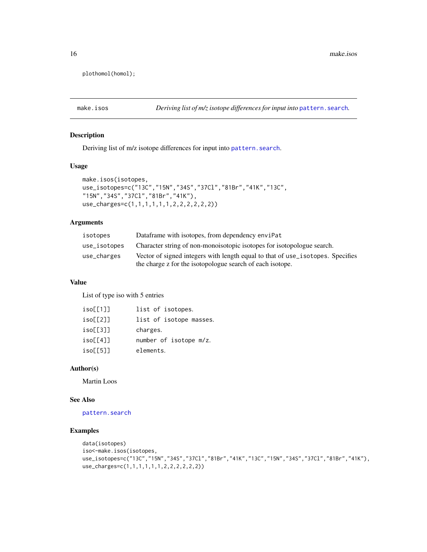plothomol(homol);

<span id="page-15-1"></span>make.isos *Deriving list of m/z isotope differences for input into* [pattern.search](#page-17-1)*.*

# Description

Deriving list of m/z isotope differences for input into [pattern.search](#page-17-1).

# Usage

```
make.isos(isotopes,
use_isotopes=c("13C","15N","34S","37Cl","81Br","41K","13C",
"15N","34S","37Cl","81Br","41K"),
use_charges=c(1,1,1,1,1,1,2,2,2,2,2,2))
```
# Arguments

| isotopes     | Dataframe with isotopes, from dependency enviror-                              |
|--------------|--------------------------------------------------------------------------------|
| use_isotopes | Character string of non-monoisotopic isotopes for isotopologue search.         |
| use_charges  | Vector of signed integers with length equal to that of use_isotopes. Specifies |
|              | the charge z for the isotopologue search of each isotope.                      |

#### Value

List of type iso with 5 entries

| iso[1]   | list of isotopes.       |
|----------|-------------------------|
| iso[2]   | list of isotope masses. |
| iso[53]  | charges.                |
| iso[14]  | number of isotope m/z.  |
| isol[5]] | elements.               |

#### Author(s)

Martin Loos

# See Also

# [pattern.search](#page-17-1)

# Examples

```
data(isotopes)
iso<-make.isos(isotopes,
use_isotopes=c("13C","15N","34S","37Cl","81Br","41K","13C","15N","34S","37Cl","81Br","41K"),
use_charges=c(1,1,1,1,1,1,2,2,2,2,2,2))
```
<span id="page-15-0"></span>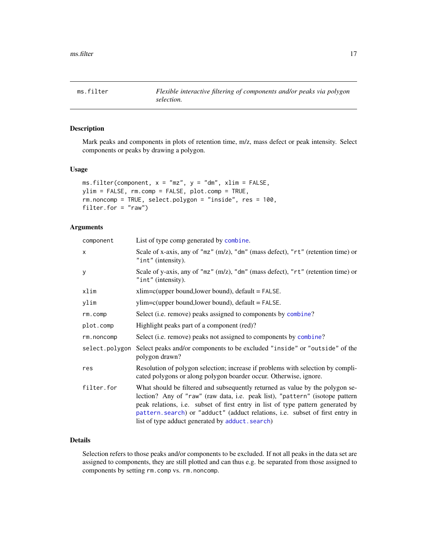<span id="page-16-1"></span><span id="page-16-0"></span>

# Description

Mark peaks and components in plots of retention time, m/z, mass defect or peak intensity. Select components or peaks by drawing a polygon.

# Usage

```
ms.filter(component, x = "mz", y = "dm", xlim = FALSE,ylim = FALSE, rm.comp = FALSE, plot.comp = TRUE,
rm.noncomp = TRUE, select.polygon = "inside", res = 100,
filter.for = "raw")
```
# Arguments

| component      | List of type comp generated by combine.                                                                                                                                                                                                                                                                                                                                               |
|----------------|---------------------------------------------------------------------------------------------------------------------------------------------------------------------------------------------------------------------------------------------------------------------------------------------------------------------------------------------------------------------------------------|
| x              | Scale of x-axis, any of "mz" (m/z), "dm" (mass defect), "rt" (retention time) or<br>" $int"$ (intensity).                                                                                                                                                                                                                                                                             |
| y              | Scale of y-axis, any of "mz" (m/z), "dm" (mass defect), "rt" (retention time) or<br>" $int"$ (intensity).                                                                                                                                                                                                                                                                             |
| xlim           | $xlim=c(upper bound, lower bound), default = FALSE.$                                                                                                                                                                                                                                                                                                                                  |
| ylim           | $ylim=c(upper bound, lower bound), default = FALSE.$                                                                                                                                                                                                                                                                                                                                  |
| rm.comp        | Select (i.e. remove) peaks assigned to components by combine?                                                                                                                                                                                                                                                                                                                         |
| plot.comp      | Highlight peaks part of a component (red)?                                                                                                                                                                                                                                                                                                                                            |
| rm.noncomp     | Select (i.e. remove) peaks not assigned to components by combine?                                                                                                                                                                                                                                                                                                                     |
| select.polygon | Select peaks and/or components to be excluded "inside" or "outside" of the<br>polygon drawn?                                                                                                                                                                                                                                                                                          |
| res            | Resolution of polygon selection; increase if problems with selection by compli-<br>cated polygons or along polygon boarder occur. Otherwise, ignore.                                                                                                                                                                                                                                  |
| filter.for     | What should be filtered and subsequently returned as value by the polygon se-<br>lection? Any of "raw" (raw data, i.e. peak list), "pattern" (isotope pattern<br>peak relations, i.e. subset of first entry in list of type pattern generated by<br>pattern. search) or "adduct" (adduct relations, i.e. subset of first entry in<br>list of type adduct generated by adduct. search) |

# Details

Selection refers to those peaks and/or components to be excluded. If not all peaks in the data set are assigned to components, they are still plotted and can thus e.g. be separated from those assigned to components by setting rm.comp vs. rm.noncomp.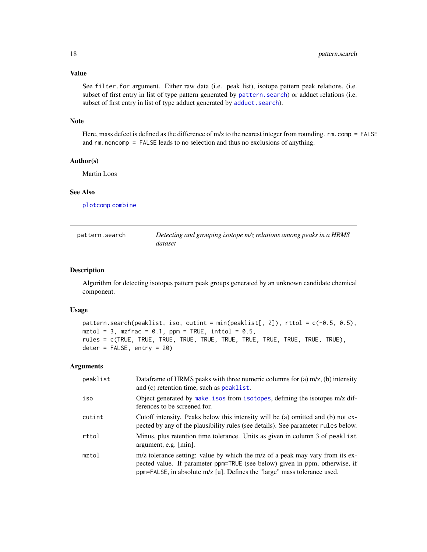# <span id="page-17-0"></span>Value

See filter.for argument. Either raw data (i.e. peak list), isotope pattern peak relations, (i.e. subset of first entry in list of type pattern generated by [pattern.search](#page-17-1)) or adduct relations (i.e. subset of first entry in list of type adduct generated by [adduct.search](#page-4-1)).

#### Note

Here, mass defect is defined as the difference of m/z to the nearest integer from rounding. rm.comp = FALSE and rm.noncomp = FALSE leads to no selection and thus no exclusions of anything.

# Author(s)

Martin Loos

# See Also

[plotcomp](#page-27-1) [combine](#page-6-1)

<span id="page-17-1"></span>

| pattern.search | Detecting and grouping isotope m/z relations among peaks in a HRMS |
|----------------|--------------------------------------------------------------------|
|                | dataset                                                            |

#### Description

Algorithm for detecting isotopes pattern peak groups generated by an unknown candidate chemical component.

# Usage

```
pattern.search(peaklist, iso, cutint = min(peaklist[, 2]), rttol = c(-0.5, 0.5),
mztol = 3, mzfrac = 0.1, ppm = TRUE, inttol = 0.5,
rules = c(TRUE, TRUE, TRUE, TRUE, TRUE, TRUE, TRUE, TRUE, TRUE, TRUE, TRUE),
deter = FALSE, entry = 20)
```
#### Arguments

| peaklist | Dataframe of HRMS peaks with three numeric columns for (a) $m/z$ , (b) intensity<br>and (c) retention time, such as peaklist.                                                                                                            |
|----------|------------------------------------------------------------------------------------------------------------------------------------------------------------------------------------------------------------------------------------------|
| iso      | Object generated by make. isos from isotopes, defining the isotopes m/z dif-<br>ferences to be screened for.                                                                                                                             |
| cutint   | Cutoff intensity. Peaks below this intensity will be (a) omitted and (b) not ex-<br>pected by any of the plausibility rules (see details). See parameter rules below.                                                                    |
| rttol    | Minus, plus retention time tolerance. Units as given in column 3 of peaklist<br>argument, e.g. $\lceil \min \rceil$ .                                                                                                                    |
| mztol    | m/z tolerance setting: value by which the m/z of a peak may vary from its ex-<br>pected value. If parameter ppm=TRUE (see below) given in ppm, otherwise, if<br>ppm=FALSE, in absolute m/z [u]. Defines the "large" mass tolerance used. |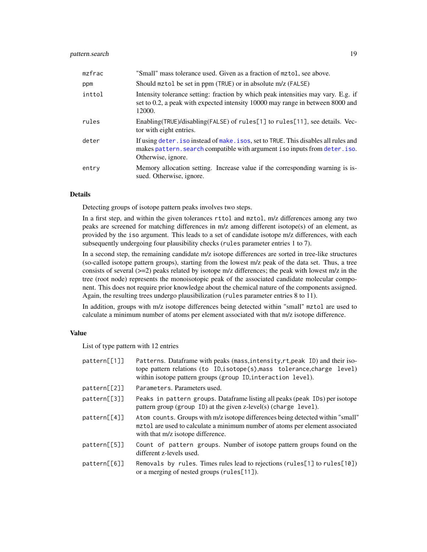# <span id="page-18-0"></span>pattern.search 19

| mzfrac | "Small" mass tolerance used. Given as a fraction of mztol, see above.                                                                                                                   |
|--------|-----------------------------------------------------------------------------------------------------------------------------------------------------------------------------------------|
| ppm    | Should mztol be set in ppm (TRUE) or in absolute m/z (FALSE)                                                                                                                            |
| inttol | Intensity tolerance setting: fraction by which peak intensities may vary. E.g. if<br>set to 0.2, a peak with expected intensity 10000 may range in between 8000 and<br>12000.           |
| rules  | Enabling(TRUE)/disabling(FALSE) of rules[1] to rules[11], see details. Vec-<br>tor with eight entries.                                                                                  |
| deter  | If using deter. iso instead of make. isos, set to TRUE. This disables all rules and<br>makes pattern. search compatible with argument iso inputs from deter. iso.<br>Otherwise, ignore. |
| entry  | Memory allocation setting. Increase value if the corresponding warning is is-<br>sued. Otherwise, ignore.                                                                               |

#### Details

Detecting groups of isotope pattern peaks involves two steps.

In a first step, and within the given tolerances rttol and mztol, m/z differences among any two peaks are screened for matching differences in m/z among different isotope(s) of an element, as provided by the iso argument. This leads to a set of candidate isotope m/z differences, with each subsequently undergoing four plausibility checks (rules parameter entries 1 to 7).

In a second step, the remaining candidate m/z isotope differences are sorted in tree-like structures (so-called isotope pattern groups), starting from the lowest m/z peak of the data set. Thus, a tree consists of several  $(\geq=2)$  peaks related by isotope m/z differences; the peak with lowest m/z in the tree (root node) represents the monoisotopic peak of the associated candidate molecular component. This does not require prior knowledge about the chemical nature of the components assigned. Again, the resulting trees undergo plausibilization (rules parameter entries 8 to 11).

In addition, groups with m/z isotope differences being detected within "small" mztol are used to calculate a minimum number of atoms per element associated with that m/z isotope difference.

# Value

List of type pattern with 12 entries

| pattern[[1]] | Patterns. Dataframe with peaks (mass, intensity, rt, peak ID) and their iso-<br>tope pattern relations (to ID, isotope(s), mass tolerance, charge level)<br>within isotope pattern groups (group ID, interaction level). |
|--------------|--------------------------------------------------------------------------------------------------------------------------------------------------------------------------------------------------------------------------|
| pattern[2]]  | Parameters. Parameters used.                                                                                                                                                                                             |
| pattern[3]]  | Peaks in pattern groups. Dataframe listing all peaks (peak IDs) per isotope<br>pattern group (group ID) at the given z-level(s) (charge level).                                                                          |
| pattern[[4]] | Atom counts. Groups with m/z isotope differences being detected within "small"<br>mztol are used to calculate a minimum number of atoms per element associated<br>with that m/z isotope difference.                      |
| pattern[5]]  | Count of pattern groups. Number of isotope pattern groups found on the<br>different z-levels used.                                                                                                                       |
| pattern[6]   | Removals by rules. Times rules lead to rejections (rules[1] to rules[10])<br>or a merging of nested groups (rules[11]).                                                                                                  |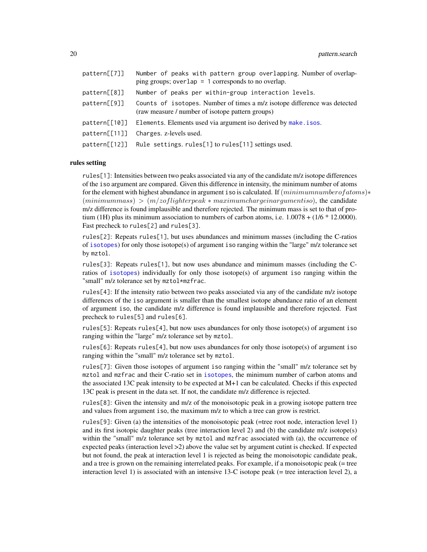<span id="page-19-0"></span>

| pattern[[7]]  | Number of peaks with pattern group overlapping. Number of overlap-<br>ping groups; overlap = $1$ corresponds to no overlap.   |
|---------------|-------------------------------------------------------------------------------------------------------------------------------|
| pattern[[8]]  | Number of peaks per within-group interaction levels.                                                                          |
| pattern[[9]]  | Counts of isotopes. Number of times a m/z isotope difference was detected<br>(raw measure / number of isotope pattern groups) |
| pattern[[10]] | Elements. Elements used via argument iso derived by make. isos.                                                               |
| pattern[111]  | Charges. z-levels used.                                                                                                       |
| pattern[[12]] | Rule settings. rules[1] to rules[11] settings used.                                                                           |

## rules setting

rules[1]: Intensities between two peaks associated via any of the candidate m/z isotope differences of the iso argument are compared. Given this difference in intensity, the minimum number of atoms for the element with highest abundance in argument iso is calculated. If  $(minimum number of atoms)*$  $(minimum mass) > (m/z of lighter peak * maximum charge in argumentiso)$ , the candidate m/z difference is found implausible and therefore rejected. The minimum mass is set to that of protium (1H) plus its minimum association to numbers of carbon atoms, i.e.  $1.0078 + (1/6 * 12.0000)$ . Fast precheck to rules[2] and rules[3].

rules[2]: Repeats rules[1], but uses abundances and minimum masses (including the C-ratios of [isotopes](#page-0-0)) for only those isotope(s) of argument iso ranging within the "large" m/z tolerance set by mztol.

rules[3]: Repeats rules[1], but now uses abundance and minimum masses (including the Cratios of [isotopes](#page-0-0)) individually for only those isotope(s) of argument iso ranging within the "small" m/z tolerance set by mztol\*mzfrac.

rules[4]: If the intensity ratio between two peaks associated via any of the candidate m/z isotope differences of the iso argument is smaller than the smallest isotope abundance ratio of an element of argument iso, the candidate m/z difference is found implausible and therefore rejected. Fast precheck to rules[5] and rules[6].

rules[5]: Repeats rules[4], but now uses abundances for only those isotope(s) of argument iso ranging within the "large" m/z tolerance set by mztol.

rules[6]: Repeats rules[4], but now uses abundances for only those isotope(s) of argument iso ranging within the "small" m/z tolerance set by mztol.

rules[7]: Given those isotopes of argument iso ranging within the "small" m/z tolerance set by mztol and mzfrac and their C-ratio set in [isotopes](#page-0-0), the minimum number of carbon atoms and the associated 13C peak intensity to be expected at M+1 can be calculated. Checks if this expected 13C peak is present in the data set. If not, the candidate m/z difference is rejected.

rules[8]: Given the intensity and m/z of the monoisotopic peak in a growing isotope pattern tree and values from argument iso, the maximum m/z to which a tree can grow is restrict.

rules[9]: Given (a) the intensities of the monoisotopic peak (=tree root node, interaction level 1) and its first isotopic daughter peaks (tree interaction level 2) and (b) the candidate m/z isotope(s) within the "small" m/z tolerance set by mztol and mzfrac associated with (a), the occurrence of expected peaks (interaction level >2) above the value set by argument cutint is checked. If expected but not found, the peak at interaction level 1 is rejected as being the monoisotopic candidate peak, and a tree is grown on the remaining interrelated peaks. For example, if a monoisotopic peak (= tree interaction level 1) is associated with an intensive 13-C isotope peak (= tree interaction level 2), a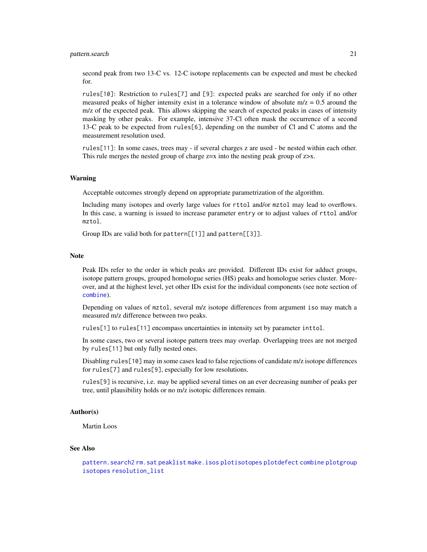<span id="page-20-0"></span>second peak from two 13-C vs. 12-C isotope replacements can be expected and must be checked for.

rules[10]: Restriction to rules[7] and [9]: expected peaks are searched for only if no other measured peaks of higher intensity exist in a tolerance window of absolute  $m/z = 0.5$  around the m/z of the expected peak. This allows skipping the search of expected peaks in cases of intensity masking by other peaks. For example, intensive 37-Cl often mask the occurrence of a second 13-C peak to be expected from rules[6], depending on the number of Cl and C atoms and the measurement resolution used.

rules[11]: In some cases, trees may - if several charges z are used - be nested within each other. This rule merges the nested group of charge  $z=x$  into the nesting peak group of  $z \rightarrow x$ .

#### Warning

Acceptable outcomes strongly depend on appropriate parametrization of the algorithm.

Including many isotopes and overly large values for rttol and/or mztol may lead to overflows. In this case, a warning is issued to increase parameter entry or to adjust values of rttol and/or mztol.

Group IDs are valid both for pattern[[1]] and pattern[[3]].

#### Note

Peak IDs refer to the order in which peaks are provided. Different IDs exist for adduct groups, isotope pattern groups, grouped homologue series (HS) peaks and homologue series cluster. Moreover, and at the highest level, yet other IDs exist for the individual components (see note section of [combine](#page-6-1)).

Depending on values of mztol, several m/z isotope differences from argument iso may match a measured m/z difference between two peaks.

rules[1] to rules[11] encompass uncertainties in intensity set by parameter inttol.

In some cases, two or several isotope pattern trees may overlap. Overlapping trees are not merged by rules[11] but only fully nested ones.

Disabling rules[10] may in some cases lead to false rejections of candidate m/z isotope differences for rules[7] and rules[9], especially for low resolutions.

rules[9] is recursive, i.e. may be applied several times on an ever decreasing number of peaks per tree, until plausibility holds or no m/z isotopic differences remain.

# Author(s)

Martin Loos

# See Also

```
pattern.search2 rm.sat peaklist make.isos plotisotopes plotdefect combine plotgroup
isotopes resolution_list
```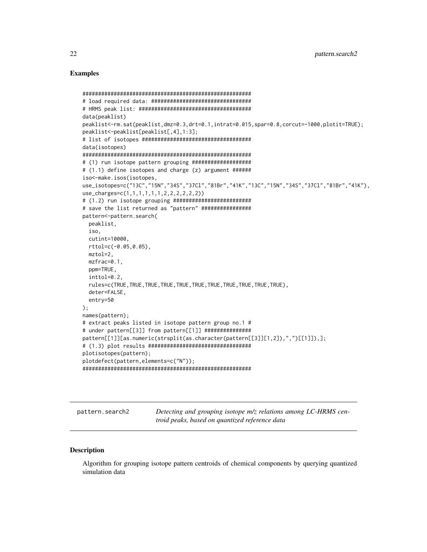#### <span id="page-21-0"></span>**Examples**

```
data(peaklist)
peaklist<-rm.sat(peaklist,dmz=0.3,drt=0.1,intrat=0.015,spar=0.8,corcut=-1000,plotit=TRUE);
peaklist<-peaklist[peaklist[,4],1:3];
data(isotopes)
# (1) run isotope pattern grouping ####################
# (1.1) define isotopes and charge (z) argument ######
iso<-make.isos(isotopes,
use_isotopes=c("13C","15N","34S","37Cl","81Br","41K","13C","15N","34S","37Cl","81Br","41K"),
use_charges=c(1,1,1,1,1,1,2,2,2,2,2,2))
# (1.2) run isotope grouping #########################
# save the list returned as "pattern" #################
pattern<-pattern.search(
 peaklist,
 iso,
 cutint=10000,
 rttol=c(-0.05, 0.05),
 mztol=2,
 mzfrac=0.1,
 ppm=TRUE,
 inttol=0.2,
 rules=c(TRUE, TRUE, TRUE, TRUE, TRUE, TRUE, TRUE, TRUE, TRUE, TRUE, TRUE),
 deter=FALSE,
 entry=50
);names(pattern);
# extract peaks listed in isotope pattern group no.1 #
# under pattern[[3]] from pattern[[1]] ###############
pattern[[1]][as.numeric(strsplit(as.character(pattern[[3]][1,2]),",")[[1]]),];
plotisotopes(pattern);
plotdefect(pattern, elements=c("N"));
```
<span id="page-21-1"></span>pattern.search2

Detecting and grouping isotope m/z relations among LC-HRMS centroid peaks, based on quantized reference data

#### **Description**

Algorithm for grouping isotope pattern centroids of chemical components by querying quantized simulation data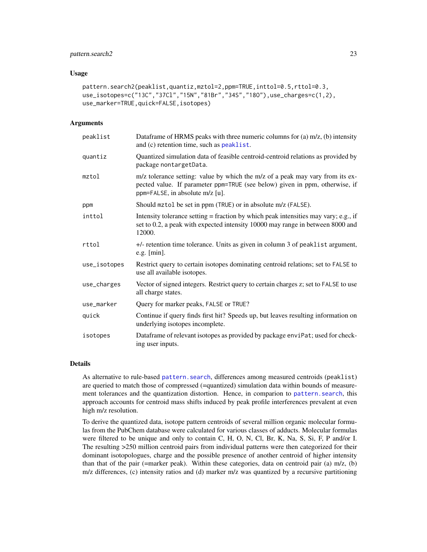# <span id="page-22-0"></span>pattern.search2 23

#### Usage

```
pattern.search2(peaklist,quantiz,mztol=2,ppm=TRUE,inttol=0.5,rttol=0.3,
use_isotopes=c("13C","37Cl","15N","81Br","34S","18O"),use_charges=c(1,2),
use_marker=TRUE,quick=FALSE,isotopes)
```
### Arguments

| peaklist     | Dataframe of HRMS peaks with three numeric columns for (a) $m/z$ , (b) intensity<br>and (c) retention time, such as peaklist.                                                                   |
|--------------|-------------------------------------------------------------------------------------------------------------------------------------------------------------------------------------------------|
| quantiz      | Quantized simulation data of feasible centroid-centroid relations as provided by<br>package nontargetData.                                                                                      |
| mztol        | m/z tolerance setting: value by which the m/z of a peak may vary from its ex-<br>pected value. If parameter ppm=TRUE (see below) given in ppm, otherwise, if<br>ppm=FALSE, in absolute m/z [u]. |
| ppm          | Should mztol be set in ppm (TRUE) or in absolute m/z (FALSE).                                                                                                                                   |
| inttol       | Intensity tolerance setting $=$ fraction by which peak intensities may vary; e.g., if<br>set to 0.2, a peak with expected intensity 10000 may range in between 8000 and<br>12000.               |
| rttol        | +/- retention time tolerance. Units as given in column 3 of peaklist argument,<br>e.g. [min].                                                                                                   |
| use_isotopes | Restrict query to certain isotopes dominating centroid relations; set to FALSE to<br>use all available isotopes.                                                                                |
| use_charges  | Vector of signed integers. Restrict query to certain charges z; set to FALSE to use<br>all charge states.                                                                                       |
| use_marker   | Query for marker peaks, FALSE or TRUE?                                                                                                                                                          |
| quick        | Continue if query finds first hit? Speeds up, but leaves resulting information on<br>underlying isotopes incomplete.                                                                            |
| isotopes     | Dataframe of relevant isotopes as provided by package enviPat; used for check-<br>ing user inputs.                                                                                              |

#### Details

As alternative to rule-based pattern. search, differences among measured centroids (peaklist) are queried to match those of compressed (=quantized) simulation data within bounds of measurement tolerances and the quantization distortion. Hence, in comparion to [pattern.search](#page-17-1), this approach accounts for centroid mass shifts induced by peak profile interferences prevalent at even high m/z resolution.

To derive the quantized data, isotope pattern centroids of several million organic molecular formulas from the PubChem database were calculated for various classes of adducts. Molecular formulas were filtered to be unique and only to contain C, H, O, N, Cl, Br, K, Na, S, Si, F, P and/or I. The resulting >250 million centroid pairs from individual patterns were then categorized for their dominant isotopologues, charge and the possible presence of another centroid of higher intensity than that of the pair (=marker peak). Within these categories, data on centroid pair (a) m/z, (b) m/z differences, (c) intensity ratios and (d) marker m/z was quantized by a recursive partitioning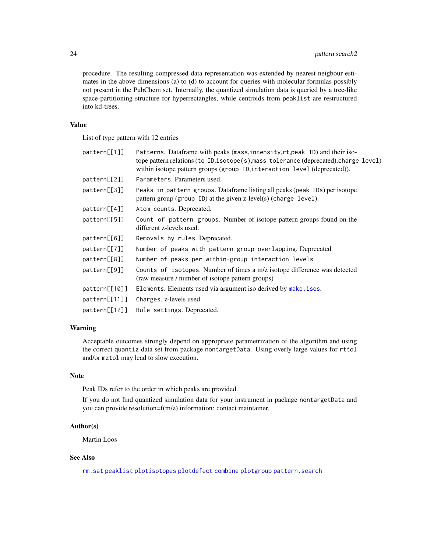<span id="page-23-0"></span>procedure. The resulting compressed data representation was extended by nearest neigbour estimates in the above dimensions (a) to (d) to account for queries with molecular formulas possibly not present in the PubChem set. Internally, the quantized simulation data is queried by a tree-like space-partitioning structure for hyperrectangles, while centroids from peaklist are restructured into kd-trees.

#### Value

List of type pattern with 12 entries

| pattern[ [1] ] | Patterns. Dataframe with peaks (mass, intensity, rt, peak ID) and their iso-<br>tope pattern relations (to ID, isotope (s), mass tolerance (deprecated), charge level)<br>within isotope pattern groups (group ID, interaction level (deprecated)). |  |
|----------------|-----------------------------------------------------------------------------------------------------------------------------------------------------------------------------------------------------------------------------------------------------|--|
| pattern[[2]]   | Parameters. Parameters used.                                                                                                                                                                                                                        |  |
| pattern[[3]]   | Peaks in pattern groups. Dataframe listing all peaks (peak IDs) per isotope<br>pattern group (group ID) at the given z-level(s) (charge level).                                                                                                     |  |
| pattern[[4]]   | Atom counts. Deprecated.                                                                                                                                                                                                                            |  |
| pattern[[5]]   | Count of pattern groups. Number of isotope pattern groups found on the<br>different z-levels used.                                                                                                                                                  |  |
| pattern[[6]]   | Removals by rules. Deprecated.                                                                                                                                                                                                                      |  |
| pattern[[7]]   | Number of peaks with pattern group overlapping. Deprecated                                                                                                                                                                                          |  |
| pattern[[8]]   | Number of peaks per within-group interaction levels.                                                                                                                                                                                                |  |
| pattern[[9]]   | Counts of isotopes. Number of times a m/z isotope difference was detected<br>(raw measure / number of isotope pattern groups)                                                                                                                       |  |
| pattern[ [10]] | Elements. Elements used via argument iso derived by make. isos.                                                                                                                                                                                     |  |
| pattern[[11]]  | Charges. z-levels used.                                                                                                                                                                                                                             |  |
| pattern[[12]]  | Rule settings. Deprecated.                                                                                                                                                                                                                          |  |

# Warning

Acceptable outcomes strongly depend on appropriate parametrization of the algorithm and using the correct quantiz data set from package nontargetData. Using overly large values for rttol and/or mztol may lead to slow execution.

# Note

Peak IDs refer to the order in which peaks are provided.

If you do not find quantized simulation data for your instrument in package nontargetData and you can provide resolution=f(m/z) information: contact maintainer.

#### Author(s)

Martin Loos

# See Also

[rm.sat](#page-34-1) [peaklist](#page-24-1) [plotisotopes](#page-33-1) [plotdefect](#page-28-1) [combine](#page-6-1) [plotgroup](#page-30-1) [pattern.search](#page-17-1)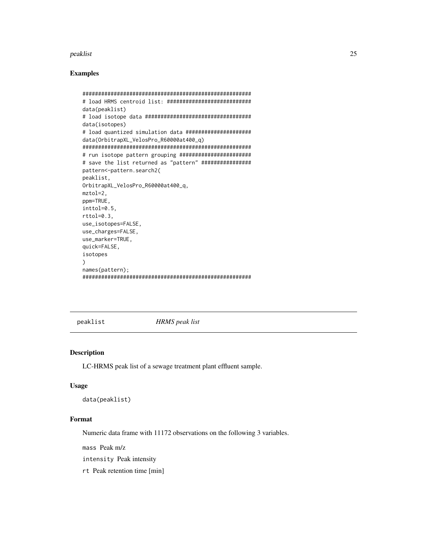# <span id="page-24-0"></span>peaklist

# **Examples**

```
# load HRMS centroid list: ###########################
data(peaklist)
data(isotopes)
# load quantized simulation data ######################
data(OrbitrapXL_VelosPro_R60000at400_q)
# save the list returned as "pattern" ################
pattern<-pattern.search2(
peaklist,
OrbitrapXL_VelosPro_R60000at400_q,
mztol=2.
ppm=TRUE,
inttol=0.5,
rttol=0.3,use_isotopes=FALSE,
use_charges=FALSE,
use_marker=TRUE,
quick=FALSE,
isotopes
\mathcal{C}names(pattern);
```
<span id="page-24-1"></span>peaklist

**HRMS** peak list

#### **Description**

LC-HRMS peak list of a sewage treatment plant effluent sample.

### **Usage**

```
data(peaklist)
```
# Format

Numeric data frame with 11172 observations on the following 3 variables.

mass Peak m/z

intensity Peak intensity

rt Peak retention time [min]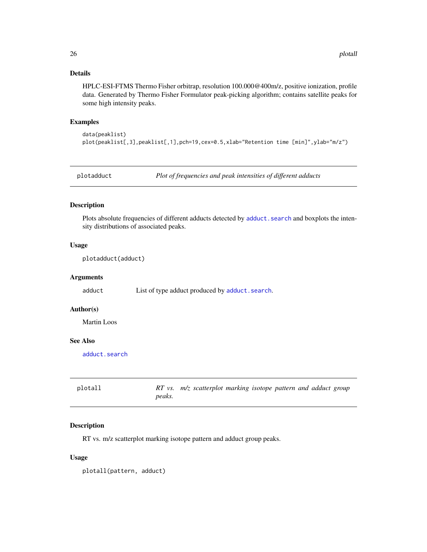# <span id="page-25-0"></span>Details

HPLC-ESI-FTMS Thermo Fisher orbitrap, resolution 100.000@400m/z, positive ionization, profile data. Generated by Thermo Fisher Formulator peak-picking algorithm; contains satellite peaks for some high intensity peaks.

#### Examples

data(peaklist) plot(peaklist[,3],peaklist[,1],pch=19,cex=0.5,xlab="Retention time [min]",ylab="m/z")

<span id="page-25-1"></span>

plotadduct *Plot of frequencies and peak intensities of different adducts*

### Description

Plots absolute frequencies of different adducts detected by adduct. search and boxplots the intensity distributions of associated peaks.

# Usage

plotadduct(adduct)

#### Arguments

adduct List of type adduct produced by [adduct.search](#page-4-1).

# Author(s)

Martin Loos

# See Also

[adduct.search](#page-4-1)

<span id="page-25-2"></span>

| plotall |        | $RT$ vs. $m/z$ scatterplot marking isotope pattern and adduct group |  |  |  |
|---------|--------|---------------------------------------------------------------------|--|--|--|
|         | peaks. |                                                                     |  |  |  |

# Description

RT vs. m/z scatterplot marking isotope pattern and adduct group peaks.

#### Usage

plotall(pattern, adduct)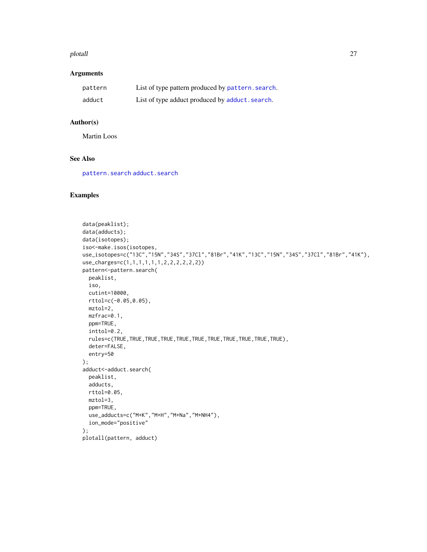#### <span id="page-26-0"></span>plotall and the contract of the contract of the contract of the contract of the contract of the contract of the contract of the contract of the contract of the contract of the contract of the contract of the contract of th

# Arguments

| pattern | List of type pattern produced by pattern. search. |
|---------|---------------------------------------------------|
| adduct  | List of type adduct produced by adduct. search.   |

# Author(s)

Martin Loos

# See Also

[pattern.search](#page-17-1) [adduct.search](#page-4-1)

# Examples

```
data(peaklist);
data(adducts);
data(isotopes);
iso<-make.isos(isotopes,
use_isotopes=c("13C","15N","34S","37Cl","81Br","41K","13C","15N","34S","37Cl","81Br","41K"),
use_charges=c(1,1,1,1,1,1,2,2,2,2,2,2))
pattern<-pattern.search(
 peaklist,
 iso,
 cutint=10000,
 rttol=c(-0.05,0.05),
 mztol=2,
 mzfrac=0.1,
  ppm=TRUE,
  inttol=0.2,
  rules=c(TRUE,TRUE,TRUE,TRUE,TRUE,TRUE,TRUE,TRUE,TRUE,TRUE,TRUE),
  deter=FALSE,
  entry=50
);
adduct<-adduct.search(
 peaklist,
 adducts,
 rttol=0.05,
 mztol=3,
  ppm=TRUE,
  use_adducts=c("M+K","M+H","M+Na","M+NH4"),
  ion_mode="positive"
);
plotall(pattern, adduct)
```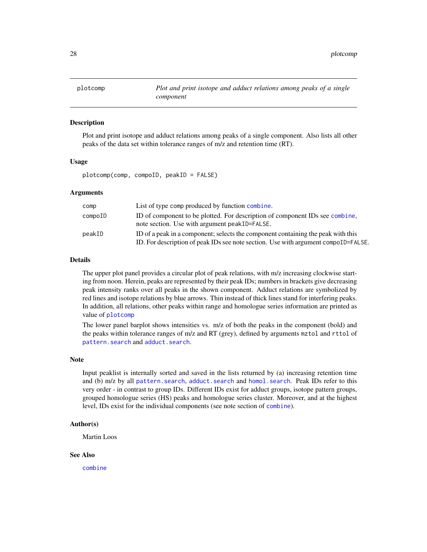<span id="page-27-1"></span><span id="page-27-0"></span>

#### Description

Plot and print isotope and adduct relations among peaks of a single component. Also lists all other peaks of the data set within tolerance ranges of m/z and retention time (RT).

#### Usage

plotcomp(comp, compoID, peakID = FALSE)

#### Arguments

| comp    | List of type comp produced by function combine.                                                                                                                        |
|---------|------------------------------------------------------------------------------------------------------------------------------------------------------------------------|
| compoID | ID of component to be plotted. For description of component IDs see combine,<br>note section. Use with argument peakID=FALSE.                                          |
| peakID  | ID of a peak in a component; selects the component containing the peak with this<br>ID. For description of peak IDs see note section. Use with argument compoID=FALSE. |

# Details

The upper plot panel provides a circular plot of peak relations, with m/z increasing clockwise starting from noon. Herein, peaks are represented by their peak IDs; numbers in brackets give decreasing peak intensity ranks over all peaks in the shown component. Adduct relations are symbolized by red lines and isotope relations by blue arrows. Thin instead of thick lines stand for interfering peaks. In addition, all relations, other peaks within range and homologue series information are printed as value of [plotcomp](#page-27-1)

The lower panel barplot shows intensities vs. m/z of both the peaks in the component (bold) and the peaks within tolerance ranges of m/z and RT (grey), defined by arguments mztol and rttol of [pattern.search](#page-17-1) and [adduct.search](#page-4-1).

#### Note

Input peaklist is internally sorted and saved in the lists returned by (a) increasing retention time and (b) m/z by all pattern. search, adduct. search and homol. search. Peak IDs refer to this very order - in contrast to group IDs. Different IDs exist for adduct groups, isotope pattern groups, grouped homologue series (HS) peaks and homologue series cluster. Moreover, and at the highest level, IDs exist for the individual components (see note section of [combine](#page-6-1)).

#### Author(s)

Martin Loos

#### See Also

[combine](#page-6-1)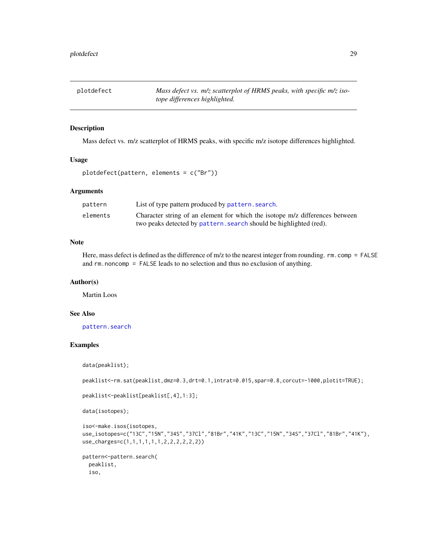<span id="page-28-1"></span><span id="page-28-0"></span>plotdefect *Mass defect vs. m/z scatterplot of HRMS peaks, with specific m/z isotope differences highlighted.*

#### Description

Mass defect vs. m/z scatterplot of HRMS peaks, with specific m/z isotope differences highlighted.

#### Usage

plotdefect(pattern, elements = c("Br"))

# Arguments

| pattern  | List of type pattern produced by pattern. search.                            |
|----------|------------------------------------------------------------------------------|
| elements | Character string of an element for which the isotope m/z differences between |
|          | two peaks detected by pattern. search should be highlighted (red).           |

# Note

Here, mass defect is defined as the difference of m/z to the nearest integer from rounding. rm.comp = FALSE and rm.noncomp = FALSE leads to no selection and thus no exclusion of anything.

#### Author(s)

Martin Loos

# See Also

[pattern.search](#page-17-1)

# Examples

data(peaklist);

peaklist<-rm.sat(peaklist,dmz=0.3,drt=0.1,intrat=0.015,spar=0.8,corcut=-1000,plotit=TRUE);

peaklist<-peaklist[peaklist[,4],1:3];

data(isotopes);

```
iso<-make.isos(isotopes,
use_isotopes=c("13C","15N","34S","37Cl","81Br","41K","13C","15N","34S","37Cl","81Br","41K"),
use_charges=c(1,1,1,1,1,1,2,2,2,2,2,2))
```

```
pattern<-pattern.search(
 peaklist,
 iso,
```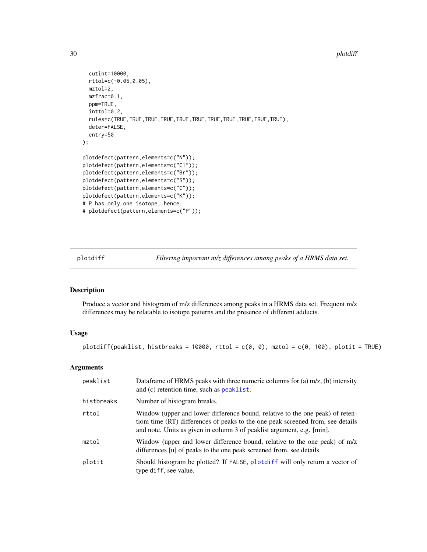#### 30 plotdiff

```
cutint=10000,
  rttol=c(-0.05,0.05),
  mztol=2,
  mzfrac=0.1,
  ppm=TRUE,
  inttol=0.2,
  rules=c(TRUE,TRUE,TRUE,TRUE,TRUE,TRUE,TRUE,TRUE,TRUE,TRUE,TRUE),
  deter=FALSE,
  entry=50
);
plotdefect(pattern,elements=c("N"));
plotdefect(pattern,elements=c("Cl"));
plotdefect(pattern,elements=c("Br"));
plotdefect(pattern,elements=c("S"));
plotdefect(pattern,elements=c("C"));
plotdefect(pattern,elements=c("K"));
# P has only one isotope, hence:
# plotdefect(pattern,elements=c("P"));
```
<span id="page-29-1"></span>plotdiff *Filtering important m/z differences among peaks of a HRMS data set.*

#### Description

Produce a vector and histogram of m/z differences among peaks in a HRMS data set. Frequent m/z differences may be relatable to isotope patterns and the presence of different adducts.

# Usage

plotdiff(peaklist, histbreaks = 10000, rttol =  $c(0, 0)$ , mztol =  $c(0, 100)$ , plotit = TRUE)

# Arguments

| peaklist   | Dataframe of HRMS peaks with three numeric columns for (a) $m/z$ , (b) intensity<br>and (c) retention time, such as peaklist.                                                                                                             |
|------------|-------------------------------------------------------------------------------------------------------------------------------------------------------------------------------------------------------------------------------------------|
| histbreaks | Number of histogram breaks.                                                                                                                                                                                                               |
| rttol      | Window (upper and lower difference bound, relative to the one peak) of reten-<br>tiom time (RT) differences of peaks to the one peak screened from, see details<br>and note. Units as given in column 3 of peaklist argument, e.g. [min]. |
| mztol      | Window (upper and lower difference bound, relative to the one peak) of m/z<br>differences [u] of peaks to the one peak screened from, see details.                                                                                        |
| plotit     | Should histogram be plotted? If FALSE, plotdiff will only return a vector of<br>type diff, see value.                                                                                                                                     |

<span id="page-29-0"></span>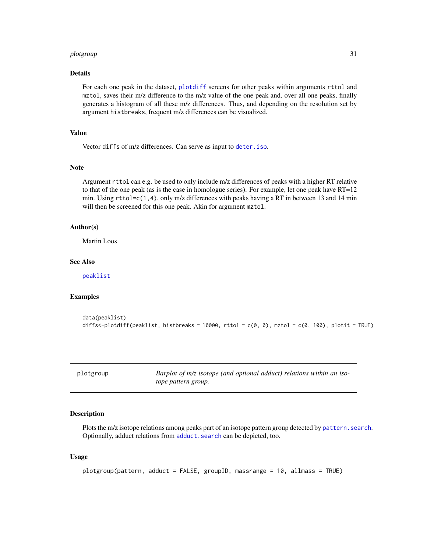#### <span id="page-30-0"></span>plotgroup 31

# Details

For each one peak in the dataset, [plotdiff](#page-29-1) screens for other peaks within arguments rttol and mztol, saves their m/z difference to the m/z value of the one peak and, over all one peaks, finally generates a histogram of all these m/z differences. Thus, and depending on the resolution set by argument histbreaks, frequent m/z differences can be visualized.

# Value

Vector diffs of m/z differences. Can serve as input to [deter.iso](#page-10-1).

#### Note

Argument rttol can e.g. be used to only include m/z differences of peaks with a higher RT relative to that of the one peak (as is the case in homologue series). For example, let one peak have RT=12 min. Using rttol=c(1,4), only m/z differences with peaks having a RT in between 13 and 14 min will then be screened for this one peak. Akin for argument mztol.

# Author(s)

Martin Loos

# See Also

[peaklist](#page-24-1)

#### Examples

```
data(peaklist)
diffs<-plotdiff(peaklist, histbreaks = 10000, rttol = c(0, 0), mztol = c(0, 100), plotit = TRUE)
```
<span id="page-30-1"></span>plotgroup *Barplot of m/z isotope (and optional adduct) relations within an isotope pattern group.*

#### Description

Plots the m/z isotope relations among peaks part of an isotope pattern group detected by pattern. search. Optionally, adduct relations from [adduct.search](#page-4-1) can be depicted, too.

#### Usage

```
plotgroup(pattern, adduct = FALSE, groupID, massrange = 10, allmass = TRUE)
```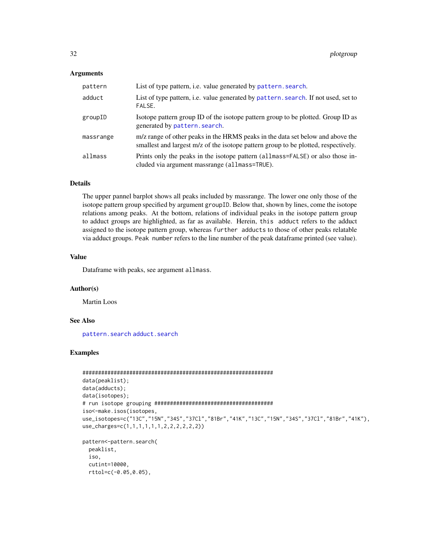#### <span id="page-31-0"></span>Arguments

| pattern   | List of type pattern, i.e. value generated by pattern. search.                                                                                                       |
|-----------|----------------------------------------------------------------------------------------------------------------------------------------------------------------------|
| adduct    | List of type pattern, i.e. value generated by pattern. search. If not used, set to<br>FALSE.                                                                         |
| groupID   | Isotope pattern group ID of the isotope pattern group to be plotted. Group ID as<br>generated by pattern. search.                                                    |
| massrange | m/z range of other peaks in the HRMS peaks in the data set below and above the<br>smallest and largest m/z of the isotope pattern group to be plotted, respectively. |
| allmass   | Prints only the peaks in the isotope pattern (allmass=FALSE) or also those in-<br>cluded via argument massrange (allmass=TRUE).                                      |

# Details

The upper pannel barplot shows all peaks included by massrange. The lower one only those of the isotope pattern group specified by argument groupID. Below that, shown by lines, come the isotope relations among peaks. At the bottom, relations of individual peaks in the isotope pattern group to adduct groups are highlighted, as far as available. Herein, this adduct refers to the adduct assigned to the isotope pattern group, whereas further adducts to those of other peaks relatable via adduct groups. Peak number refers to the line number of the peak dataframe printed (see value).

# Value

Dataframe with peaks, see argument allmass.

#### Author(s)

Martin Loos

# See Also

[pattern.search](#page-17-1) [adduct.search](#page-4-1)

# Examples

```
#############################################################
data(peaklist);
data(adducts);
data(isotopes);
# run isotope grouping ######################################
iso<-make.isos(isotopes,
use_isotopes=c("13C","15N","34S","37Cl","81Br","41K","13C","15N","34S","37Cl","81Br","41K"),
use_charges=c(1,1,1,1,1,1,2,2,2,2,2,2))
pattern<-pattern.search(
  peaklist,
```
iso, cutint=10000, rttol=c(-0.05,0.05),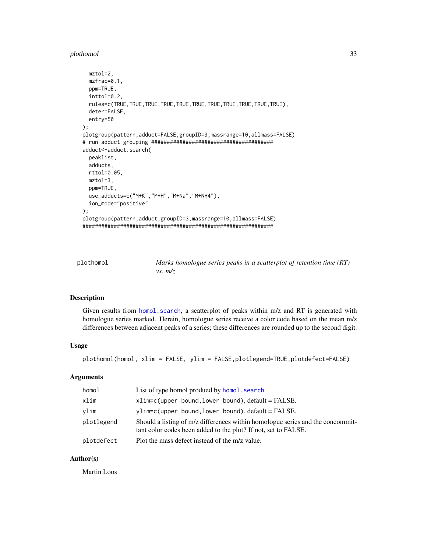#### <span id="page-32-0"></span>plothomol 33

```
mztol=2,
 mzfrac=0.1,
 ppm=TRUE,
 inttol=0.2,
 rules=c(TRUE,TRUE,TRUE,TRUE,TRUE,TRUE,TRUE,TRUE,TRUE,TRUE,TRUE),
 deter=FALSE,
 entry=50
);
plotgroup(pattern,adduct=FALSE,groupID=3,massrange=10,allmass=FALSE)
# run adduct grouping #######################################
adduct<-adduct.search(
 peaklist,
 adducts,
 rttol=0.05,
 mztol=3,
 ppm=TRUE,
 use_adducts=c("M+K","M+H","M+Na","M+NH4"),
 ion_mode="positive"
);
plotgroup(pattern,adduct,groupID=3,massrange=10,allmass=FALSE)
#############################################################
```
<span id="page-32-1"></span>

plothomol *Marks homologue series peaks in a scatterplot of retention time (RT) vs. m/z*

#### Description

Given results from homol. search, a scatterplot of peaks within m/z and RT is generated with homologue series marked. Herein, homologue series receive a color code based on the mean m/z differences between adjacent peaks of a series; these differences are rounded up to the second digit.

# Usage

plothomol(homol, xlim = FALSE, ylim = FALSE,plotlegend=TRUE,plotdefect=FALSE)

#### Arguments

| homol      | List of type homol produed by homol. search.                                                                                                     |
|------------|--------------------------------------------------------------------------------------------------------------------------------------------------|
| xlim       | $xlim=c$ (upper bound, lower bound), default = FALSE.                                                                                            |
| vlim       | $vlim=c(upper bound, lower bound), default = FALSE.$                                                                                             |
| plotlegend | Should a listing of m/z differences within homologue series and the concommit-<br>tant color codes been added to the plot? If not, set to FALSE. |
| plotdefect | Plot the mass defect instead of the m/z value.                                                                                                   |

# Author(s)

Martin Loos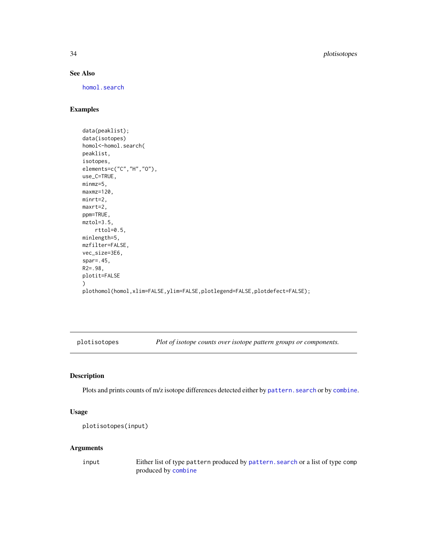# See Also

[homol.search](#page-12-1)

# Examples

```
data(peaklist);
data(isotopes)
homol<-homol.search(
peaklist,
isotopes,
elements=c("C","H","O"),
use_C=TRUE,
minmz=5,
maxmz=120,
minrt=2,
maxrt=2,
ppm=TRUE,
mztol=3.5,
   rttol=0.5,
minlength=5,
mzfilter=FALSE,
vec_size=3E6,
spar=.45,
R2=.98,
plotit=FALSE
)
plothomol(homol,xlim=FALSE,ylim=FALSE,plotlegend=FALSE,plotdefect=FALSE);
```
<span id="page-33-1"></span>plotisotopes *Plot of isotope counts over isotope pattern groups or components.*

# Description

Plots and prints counts of m/z isotope differences detected either by pattern. search or by [combine](#page-6-1).

#### Usage

```
plotisotopes(input)
```
# Arguments

input Either list of type pattern produced by [pattern.search](#page-17-1) or a list of type comp produced by [combine](#page-6-1)

<span id="page-33-0"></span>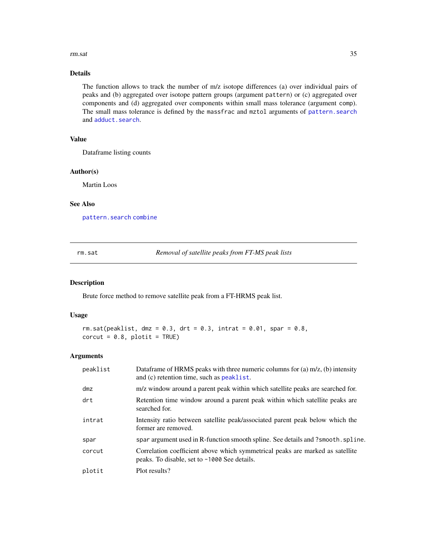#### <span id="page-34-0"></span>rm.sat 35

# Details

The function allows to track the number of m/z isotope differences (a) over individual pairs of peaks and (b) aggregated over isotope pattern groups (argument pattern) or (c) aggregated over components and (d) aggregated over components within small mass tolerance (argument comp). The small mass tolerance is defined by the massfrac and mztol arguments of [pattern.search](#page-17-1) and [adduct.search](#page-4-1).

# Value

Dataframe listing counts

#### Author(s)

Martin Loos

# See Also

[pattern.search](#page-17-1) [combine](#page-6-1)

<span id="page-34-1"></span>rm.sat *Removal of satellite peaks from FT-MS peak lists*

#### Description

Brute force method to remove satellite peak from a FT-HRMS peak list.

# Usage

```
rm.sat(peaklist, dmz = 0.3, drt = 0.3, intrat = 0.01, spar = 0.8,corcut = 0.8, plotit = TRUE)
```
# Arguments

| peaklist | Data frame of HRMS peaks with three numeric columns for (a) $m/z$ , (b) intensity<br>and (c) retention time, such as peaklist. |
|----------|--------------------------------------------------------------------------------------------------------------------------------|
| dmz      | m/z window around a parent peak within which satellite peaks are searched for.                                                 |
| drt      | Retention time window around a parent peak within which satellite peaks are<br>searched for.                                   |
| intrat   | Intensity ratio between satellite peak/associated parent peak below which the<br>former are removed.                           |
| spar     | spar argument used in R-function smooth spline. See details and ? smooth. spline.                                              |
| corcut   | Correlation coefficient above which symmetrical peaks are marked as satellite<br>peaks. To disable, set to -1000 See details.  |
| plotit   | Plot results?                                                                                                                  |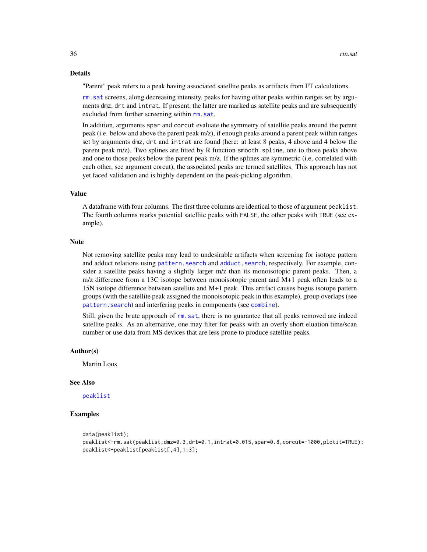#### <span id="page-35-0"></span>Details

"Parent" peak refers to a peak having associated satellite peaks as artifacts from FT calculations.

[rm.sat](#page-34-1) screens, along decreasing intensity, peaks for having other peaks within ranges set by arguments dmz, drt and intrat. If present, the latter are marked as satellite peaks and are subsequently excluded from further screening within rm. sat.

In addition, arguments spar and corcut evaluate the symmetry of satellite peaks around the parent peak (i.e. below and above the parent peak m/z), if enough peaks around a parent peak within ranges set by arguments dmz, drt and intrat are found (here: at least 8 peaks, 4 above and 4 below the parent peak m/z). Two splines are fitted by R function smooth.spline, one to those peaks above and one to those peaks below the parent peak m/z. If the splines are symmetric (i.e. correlated with each other, see argument corcut), the associated peaks are termed satellites. This approach has not yet faced validation and is highly dependent on the peak-picking algorithm.

#### Value

A dataframe with four columns. The first three columns are identical to those of argument peaklist. The fourth columns marks potential satellite peaks with FALSE, the other peaks with TRUE (see example).

# Note

Not removing satellite peaks may lead to undesirable artifacts when screening for isotope pattern and adduct relations using pattern. search and adduct. search, respectively. For example, consider a satellite peaks having a slightly larger m/z than its monoisotopic parent peaks. Then, a m/z difference from a 13C isotope between monoisotopic parent and M+1 peak often leads to a 15N isotope difference between satellite and M+1 peak. This artifact causes bogus isotope pattern groups (with the satellite peak assigned the monoisotopic peak in this example), group overlaps (see [pattern.search](#page-17-1)) and interfering peaks in components (see [combine](#page-6-1)).

Still, given the brute approach of rm. sat, there is no guarantee that all peaks removed are indeed satellite peaks. As an alternative, one may filter for peaks with an overly short eluation time/scan number or use data from MS devices that are less prone to produce satellite peaks.

#### Author(s)

Martin Loos

#### See Also

[peaklist](#page-24-1)

# Examples

```
data(peaklist);
peaklist<-rm.sat(peaklist,dmz=0.3,drt=0.1,intrat=0.015,spar=0.8,corcut=-1000,plotit=TRUE);
peaklist<-peaklist[peaklist[,4],1:3];
```